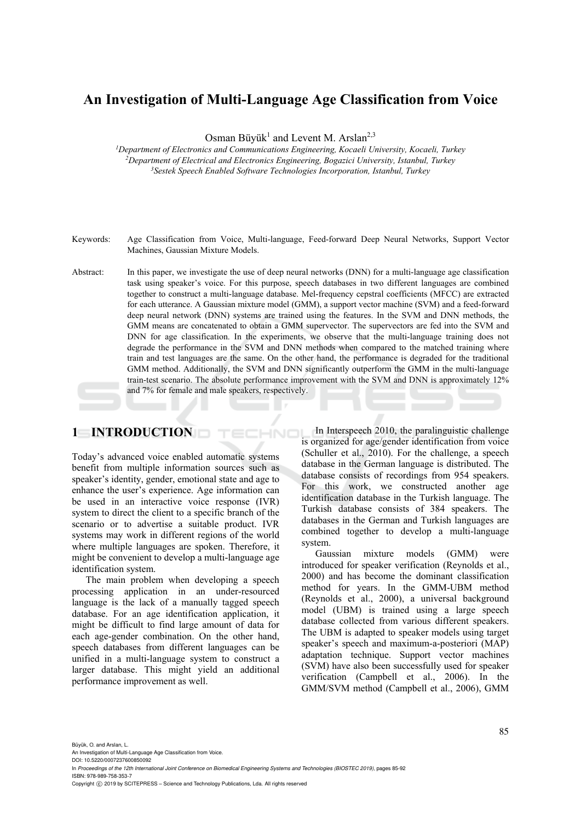# **An Investigation of Multi-Language Age Classification from Voice**

Osman Büyük<sup>1</sup> and Levent M. Arslan<sup>2,3</sup>

*1 Department of Electronics and Communications Engineering, Kocaeli University, Kocaeli, Turkey 2 Department of Electrical and Electronics Engineering, Bogazici University, Istanbul, Turkey 3Sestek Speech Enabled Software Technologies Incorporation, Istanbul, Turkey* 

- Keywords: Age Classification from Voice, Multi-language, Feed-forward Deep Neural Networks, Support Vector Machines, Gaussian Mixture Models.
- Abstract: In this paper, we investigate the use of deep neural networks (DNN) for a multi-language age classification task using speaker's voice. For this purpose, speech databases in two different languages are combined together to construct a multi-language database. Mel-frequency cepstral coefficients (MFCC) are extracted for each utterance. A Gaussian mixture model (GMM), a support vector machine (SVM) and a feed-forward deep neural network (DNN) systems are trained using the features. In the SVM and DNN methods, the GMM means are concatenated to obtain a GMM supervector. The supervectors are fed into the SVM and DNN for age classification. In the experiments, we observe that the multi-language training does not degrade the performance in the SVM and DNN methods when compared to the matched training where train and test languages are the same. On the other hand, the performance is degraded for the traditional GMM method. Additionally, the SVM and DNN significantly outperform the GMM in the multi-language train-test scenario. The absolute performance improvement with the SVM and DNN is approximately 12% and 7% for female and male speakers, respectively.

HNO

## **1 INTRODUCTION**

Today's advanced voice enabled automatic systems benefit from multiple information sources such as speaker's identity, gender, emotional state and age to enhance the user's experience. Age information can be used in an interactive voice response (IVR) system to direct the client to a specific branch of the scenario or to advertise a suitable product. IVR systems may work in different regions of the world where multiple languages are spoken. Therefore, it might be convenient to develop a multi-language age identification system.

The main problem when developing a speech processing application in an under-resourced language is the lack of a manually tagged speech database. For an age identification application, it might be difficult to find large amount of data for each age-gender combination. On the other hand, speech databases from different languages can be unified in a multi-language system to construct a larger database. This might yield an additional performance improvement as well.

In Interspeech 2010, the paralinguistic challenge is organized for age/gender identification from voice (Schuller et al., 2010). For the challenge, a speech database in the German language is distributed. The database consists of recordings from 954 speakers. For this work, we constructed another age identification database in the Turkish language. The Turkish database consists of 384 speakers. The databases in the German and Turkish languages are combined together to develop a multi-language system.

Gaussian mixture models (GMM) were introduced for speaker verification (Reynolds et al., 2000) and has become the dominant classification method for years. In the GMM-UBM method (Reynolds et al., 2000), a universal background model (UBM) is trained using a large speech database collected from various different speakers. The UBM is adapted to speaker models using target speaker's speech and maximum-a-posteriori (MAP) adaptation technique. Support vector machines (SVM) have also been successfully used for speaker verification (Campbell et al., 2006). In the GMM/SVM method (Campbell et al., 2006), GMM

Büyük, O. and Arslan, L.

An Investigation of Multi-Language Age Classification from Voice. DOI: 10.5220/0007237600850092

In *Proceedings of the 12th International Joint Conference on Biomedical Engineering Systems and Technologies (BIOSTEC 2019)*, pages 85-92 ISBN: 978-989-758-353-7

Copyright (C) 2019 by SCITEPRESS - Science and Technology Publications, Lda. All rights reserved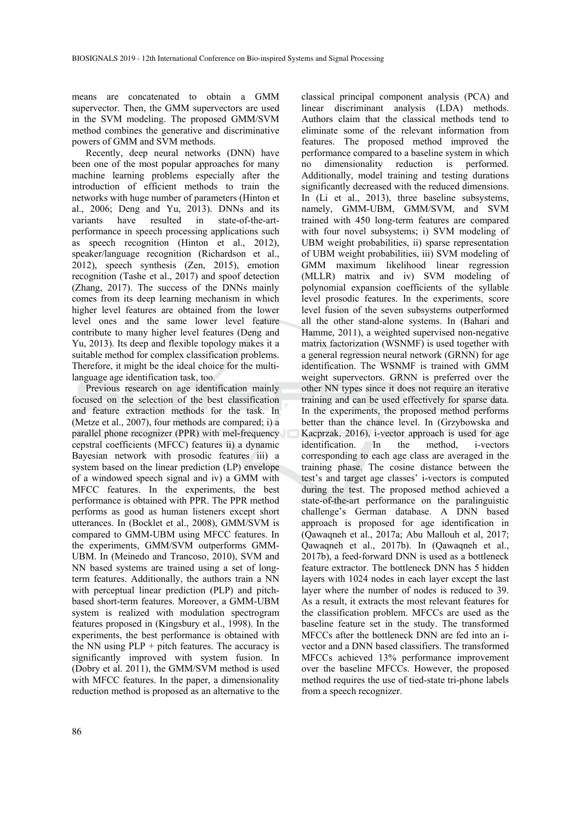means are concatenated to obtain a GMM supervector. Then, the GMM supervectors are used in the SVM modeling. The proposed GMM/SVM method combines the generative and discriminative powers of GMM and SVM methods.

Recently, deep neural networks (DNN) have been one of the most popular approaches for many machine learning problems especially after the introduction of efficient methods to train the networks with huge number of parameters (Hinton et al., 2006; Deng and Yu, 2013). DNNs and its variants have resulted in state-of-the-artvariants have resulted in state-of-the-artperformance in speech processing applications such as speech recognition (Hinton et al., 2012), speaker/language recognition (Richardson et al., 2012), speech synthesis (Zen, 2015), emotion recognition (Tashe et al., 2017) and spoof detection (Zhang, 2017). The success of the DNNs mainly comes from its deep learning mechanism in which higher level features are obtained from the lower level ones and the same lower level feature contribute to many higher level features (Deng and Yu, 2013). Its deep and flexible topology makes it a suitable method for complex classification problems. Therefore, it might be the ideal choice for the multilanguage age identification task, too.

Previous research on age identification mainly focused on the selection of the best classification and feature extraction methods for the task. In (Metze et al., 2007), four methods are compared; i) a parallel phone recognizer (PPR) with mel-frequency cepstral coefficients (MFCC) features ii) a dynamic Bayesian network with prosodic features iii) a system based on the linear prediction (LP) envelope of a windowed speech signal and iv) a GMM with MFCC features. In the experiments, the best performance is obtained with PPR. The PPR method performs as good as human listeners except short utterances. In (Bocklet et al., 2008), GMM/SVM is compared to GMM-UBM using MFCC features. In the experiments, GMM/SVM outperforms GMM-UBM. In (Meinedo and Trancoso, 2010), SVM and NN based systems are trained using a set of longterm features. Additionally, the authors train a NN with perceptual linear prediction (PLP) and pitchbased short-term features. Moreover, a GMM-UBM system is realized with modulation spectrogram features proposed in (Kingsbury et al., 1998). In the experiments, the best performance is obtained with the NN using  $PLP +$  pitch features. The accuracy is significantly improved with system fusion. In (Dobry et al. 2011), the GMM/SVM method is used with MFCC features. In the paper, a dimensionality reduction method is proposed as an alternative to the

classical principal component analysis (PCA) and linear discriminant analysis (LDA) methods. Authors claim that the classical methods tend to eliminate some of the relevant information from features. The proposed method improved the performance compared to a baseline system in which no dimensionality reduction is performed. Additionally, model training and testing durations significantly decreased with the reduced dimensions. In (Li et al., 2013), three baseline subsystems, namely, GMM-UBM, GMM/SVM, and SVM trained with 450 long-term features are compared with four novel subsystems; i) SVM modeling of UBM weight probabilities, ii) sparse representation of UBM weight probabilities, iii) SVM modeling of GMM maximum likelihood linear regression (MLLR) matrix and iv) SVM modeling of polynomial expansion coefficients of the syllable level prosodic features. In the experiments, score level fusion of the seven subsystems outperformed all the other stand-alone systems. In (Bahari and Hamme, 2011), a weighted supervised non-negative matrix factorization (WSNMF) is used together with a general regression neural network (GRNN) for age identification. The WSNMF is trained with GMM weight supervectors. GRNN is preferred over the other NN types since it does not require an iterative training and can be used effectively for sparse data. In the experiments, the proposed method performs better than the chance level. In (Grzybowska and Kacprzak, 2016), i-vector approach is used for age identification. In the method, i-vectors corresponding to each age class are averaged in the training phase. The cosine distance between the test's and target age classes' i-vectors is computed during the test. The proposed method achieved a state-of-the-art performance on the paralinguistic challenge's German database. A DNN based approach is proposed for age identification in (Qawaqneh et al., 2017a; Abu Mallouh et al, 2017; Qawaqneh et al., 2017b). In (Qawaqneh et al., 2017b), a feed-forward DNN is used as a bottleneck feature extractor. The bottleneck DNN has 5 hidden layers with 1024 nodes in each layer except the last layer where the number of nodes is reduced to 39. As a result, it extracts the most relevant features for the classification problem. MFCCs are used as the baseline feature set in the study. The transformed MFCCs after the bottleneck DNN are fed into an ivector and a DNN based classifiers. The transformed MFCCs achieved 13% performance improvement over the baseline MFCCs. However, the proposed method requires the use of tied-state tri-phone labels from a speech recognizer.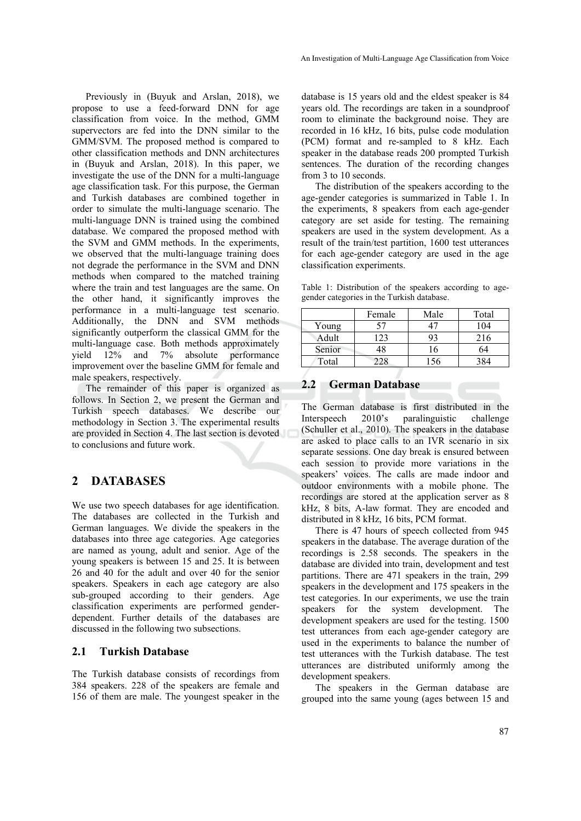Previously in (Buyuk and Arslan, 2018), we propose to use a feed-forward DNN for age classification from voice. In the method, GMM supervectors are fed into the DNN similar to the GMM/SVM. The proposed method is compared to other classification methods and DNN architectures in (Buyuk and Arslan, 2018). In this paper, we investigate the use of the DNN for a multi-language age classification task. For this purpose, the German and Turkish databases are combined together in order to simulate the multi-language scenario. The multi-language DNN is trained using the combined database. We compared the proposed method with the SVM and GMM methods. In the experiments, we observed that the multi-language training does not degrade the performance in the SVM and DNN methods when compared to the matched training where the train and test languages are the same. On the other hand, it significantly improves the performance in a multi-language test scenario. Additionally, the DNN and SVM methods significantly outperform the classical GMM for the multi-language case. Both methods approximately yield 12% and 7% absolute performance improvement over the baseline GMM for female and male speakers, respectively.

The remainder of this paper is organized as follows. In Section 2, we present the German and Turkish speech databases. We describe our methodology in Section 3. The experimental results are provided in Section 4. The last section is devoted to conclusions and future work.

## **2 DATABASES**

We use two speech databases for age identification. The databases are collected in the Turkish and German languages. We divide the speakers in the databases into three age categories. Age categories are named as young, adult and senior. Age of the young speakers is between 15 and 25. It is between 26 and 40 for the adult and over 40 for the senior speakers. Speakers in each age category are also sub-grouped according to their genders. Age classification experiments are performed genderdependent. Further details of the databases are discussed in the following two subsections.

## **2.1 Turkish Database**

The Turkish database consists of recordings from 384 speakers. 228 of the speakers are female and 156 of them are male. The youngest speaker in the

database is 15 years old and the eldest speaker is 84 years old. The recordings are taken in a soundproof room to eliminate the background noise. They are recorded in 16 kHz, 16 bits, pulse code modulation (PCM) format and re-sampled to 8 kHz. Each speaker in the database reads 200 prompted Turkish sentences. The duration of the recording changes from 3 to 10 seconds.

The distribution of the speakers according to the age-gender categories is summarized in Table 1. In the experiments, 8 speakers from each age-gender category are set aside for testing. The remaining speakers are used in the system development. As a result of the train/test partition, 1600 test utterances for each age-gender category are used in the age classification experiments.

Table 1: Distribution of the speakers according to agegender categories in the Turkish database.

|        | Female | Male | Total |
|--------|--------|------|-------|
| Young  |        |      | 104   |
| Adult  | 23     |      | 216   |
| Senior |        | 6    |       |
| Total  |        | 156  |       |

## **2.2 German Database**

The German database is first distributed in the Interspeech 2010's paralinguistic challenge (Schuller et al., 2010). The speakers in the database are asked to place calls to an IVR scenario in six separate sessions. One day break is ensured between each session to provide more variations in the speakers' voices. The calls are made indoor and outdoor environments with a mobile phone. The recordings are stored at the application server as 8 kHz, 8 bits, A-law format. They are encoded and distributed in 8 kHz, 16 bits, PCM format.

There is 47 hours of speech collected from 945 speakers in the database. The average duration of the recordings is 2.58 seconds. The speakers in the database are divided into train, development and test partitions. There are 471 speakers in the train, 299 speakers in the development and 175 speakers in the test categories. In our experiments, we use the train speakers for the system development. The development speakers are used for the testing. 1500 test utterances from each age-gender category are used in the experiments to balance the number of test utterances with the Turkish database. The test utterances are distributed uniformly among the development speakers.

The speakers in the German database are grouped into the same young (ages between 15 and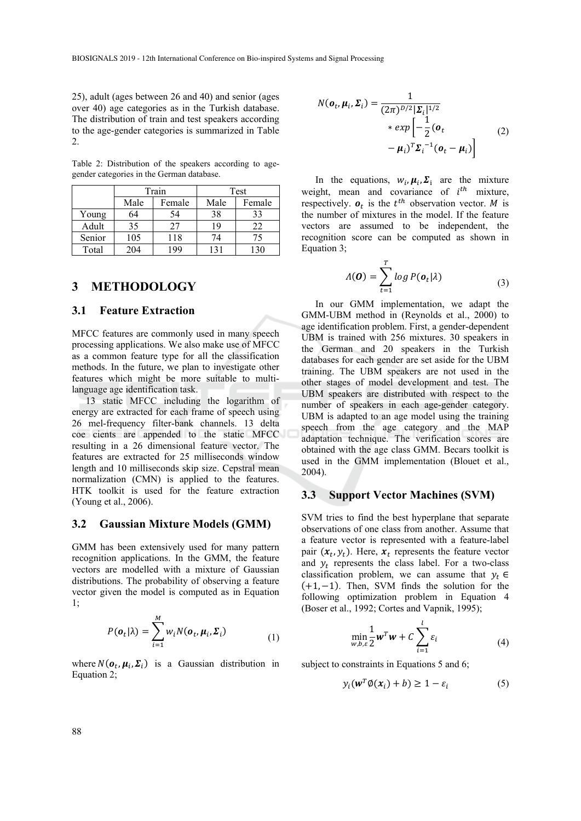25), adult (ages between 26 and 40) and senior (ages over 40) age categories as in the Turkish database. The distribution of train and test speakers according to the age-gender categories is summarized in Table 2.

Table 2: Distribution of the speakers according to agegender categories in the German database.

|        |      | Train  | Test |        |  |
|--------|------|--------|------|--------|--|
|        | Male | Female | Male | Female |  |
| Young  | 64   | 54     | 38   | 33     |  |
| Adult  | 35   | 27     | 19   | 22     |  |
| Senior | 105  | 118    | 74   | 75     |  |
| Total  | 204  | 199    |      |        |  |

## **3 METHODOLOGY**

#### **3.1 Feature Extraction**

MFCC features are commonly used in many speech processing applications. We also make use of MFCC as a common feature type for all the classification methods. In the future, we plan to investigate other features which might be more suitable to multilanguage age identification task.

13 static MFCC including the logarithm of energy are extracted for each frame of speech using 26 mel-frequency filter-bank channels. 13 delta coe cients are appended to the static MFCC resulting in a 26 dimensional feature vector. The features are extracted for 25 milliseconds window length and 10 milliseconds skip size. Cepstral mean normalization (CMN) is applied to the features. HTK toolkit is used for the feature extraction (Young et al., 2006).

#### **3.2 Gaussian Mixture Models (GMM)**

GMM has been extensively used for many pattern recognition applications. In the GMM, the feature vectors are modelled with a mixture of Gaussian distributions. The probability of observing a feature vector given the model is computed as in Equation 1;

**CONTRACTOR** 

$$
P(\boldsymbol{o}_t|\lambda) = \sum_{i=1}^{M} w_i N(\boldsymbol{o}_t, \boldsymbol{\mu}_i, \boldsymbol{\Sigma}_i)
$$
 (1)

where  $N(\boldsymbol{o}_t, \boldsymbol{\mu}_i, \boldsymbol{\Sigma}_i)$  is a Gaussian distribution in Equation 2;

$$
N(\mathbf{o}_t, \boldsymbol{\mu}_i, \boldsymbol{\Sigma}_i) = \frac{1}{(2\pi)^{D/2} |\boldsymbol{\Sigma}_i|^{1/2}}
$$
  
 
$$
* \exp\left[-\frac{1}{2}(\mathbf{o}_t - \boldsymbol{\mu}_i)\right]
$$
  
 
$$
- \boldsymbol{\mu}_i)^T \boldsymbol{\Sigma}_i^{-1}(\mathbf{o}_t - \boldsymbol{\mu}_i)
$$
 (2)

In the equations,  $w_i$ ,  $\mu_i$ ,  $\Sigma_i$  are the mixture weight, mean and covariance of  $i^{th}$  mixture, respectively.  $\boldsymbol{o}_t$  is the  $t^{th}$  observation vector. M is the number of mixtures in the model. If the feature vectors are assumed to be independent, the recognition score can be computed as shown in Equation 3;

$$
\Lambda(\boldsymbol{O}) = \sum_{t=1}^{T} \log P(\boldsymbol{o}_t | \lambda)
$$
\n(3)

In our GMM implementation, we adapt the GMM-UBM method in (Reynolds et al., 2000) to age identification problem. First, a gender-dependent UBM is trained with 256 mixtures. 30 speakers in the German and 20 speakers in the Turkish databases for each gender are set aside for the UBM training. The UBM speakers are not used in the other stages of model development and test. The UBM speakers are distributed with respect to the number of speakers in each age-gender category. UBM is adapted to an age model using the training speech from the age category and the MAP adaptation technique. The verification scores are obtained with the age class GMM. Becars toolkit is used in the GMM implementation (Blouet et al., 2004).

#### **3.3 Support Vector Machines (SVM)**

SVM tries to find the best hyperplane that separate observations of one class from another. Assume that a feature vector is represented with a feature-label pair  $(x_t, y_t)$ . Here,  $x_t$  represents the feature vector and  $y_t$  represents the class label. For a two-class classification problem, we can assume that  $y_t \in$  $(+1, -1)$ . Then, SVM finds the solution for the following optimization problem in Equation 4 (Boser et al., 1992; Cortes and Vapnik, 1995);

$$
\min_{\mathbf{w},b,\varepsilon} \frac{1}{2} \mathbf{w}^T \mathbf{w} + C \sum_{i=1}^l \varepsilon_i
$$
\n(4)

subject to constraints in Equations 5 and 6;

$$
y_i(\mathbf{w}^T \phi(\mathbf{x}_i) + b) \ge 1 - \varepsilon_i \tag{5}
$$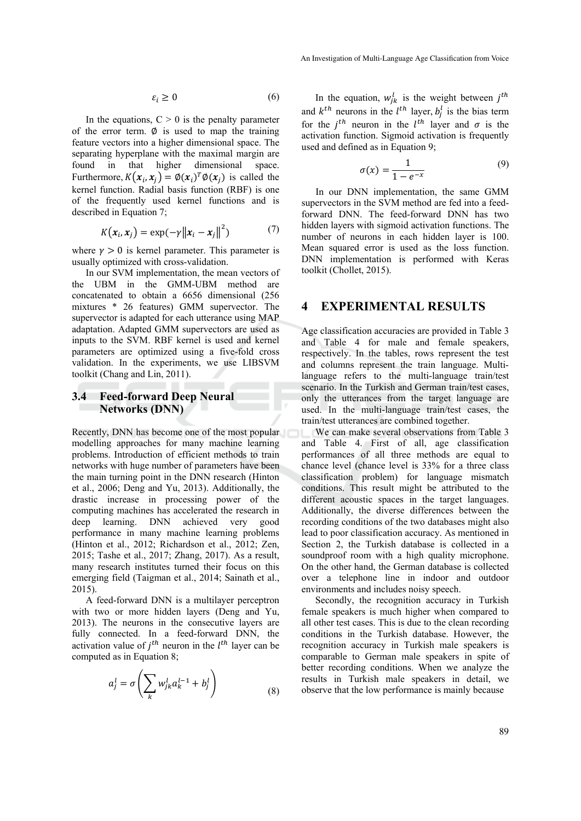$$
\varepsilon_i \ge 0 \tag{6}
$$

In the equations,  $C > 0$  is the penalty parameter of the error term.  $\emptyset$  is used to map the training feature vectors into a higher dimensional space. The separating hyperplane with the maximal margin are found in that higher dimensional space. Furthermore,  $K(x_i, x_i) = \phi(x_i)^T \phi(x_i)$  is called the kernel function. Radial basis function (RBF) is one of the frequently used kernel functions and is described in Equation 7;

$$
K(\boldsymbol{x}_i, \boldsymbol{x}_j) = \exp(-\gamma ||\boldsymbol{x}_i - \boldsymbol{x}_j||^2) \tag{7}
$$

where  $\gamma > 0$  is kernel parameter. This parameter is usually optimized with cross-validation.

In our SVM implementation, the mean vectors of the UBM in the GMM-UBM method are concatenated to obtain a 6656 dimensional (256 mixtures \* 26 features) GMM supervector. The supervector is adapted for each utterance using MAP adaptation. Adapted GMM supervectors are used as inputs to the SVM. RBF kernel is used and kernel parameters are optimized using a five-fold cross validation. In the experiments, we use LIBSVM toolkit (Chang and Lin, 2011).

## **3.4 Feed-forward Deep Neural Networks (DNN)**

Recently, DNN has become one of the most popular modelling approaches for many machine learning problems. Introduction of efficient methods to train networks with huge number of parameters have been the main turning point in the DNN research (Hinton et al., 2006; Deng and Yu, 2013). Additionally, the drastic increase in processing power of the computing machines has accelerated the research in deep learning. DNN achieved very good performance in many machine learning problems (Hinton et al., 2012; Richardson et al., 2012; Zen, 2015; Tashe et al., 2017; Zhang, 2017). As a result, many research institutes turned their focus on this emerging field (Taigman et al., 2014; Sainath et al., 2015).

A feed-forward DNN is a multilayer perceptron with two or more hidden layers (Deng and Yu, 2013). The neurons in the consecutive layers are fully connected. In a feed-forward DNN, the activation value of  $j<sup>th</sup>$  neuron in the  $l<sup>th</sup>$  layer can be computed as in Equation 8;

$$
a_j^l = \sigma \left( \sum_k w_{jk}^l a_k^{l-1} + b_j^l \right) \tag{8}
$$

In the equation,  $w_{jk}^l$  is the weight between  $j^{th}$ and  $k^{th}$  neurons in the  $l^{th}$  layer,  $b_j^l$  is the bias term for the  $j^{th}$  neuron in the  $l^{th}$  layer and  $\sigma$  is the activation function. Sigmoid activation is frequently used and defined as in Equation 9;

$$
\sigma(x) = \frac{1}{1 - e^{-x}}\tag{9}
$$

In our DNN implementation, the same GMM supervectors in the SVM method are fed into a feedforward DNN. The feed-forward DNN has two hidden layers with sigmoid activation functions. The number of neurons in each hidden layer is 100. Mean squared error is used as the loss function. DNN implementation is performed with Keras toolkit (Chollet, 2015).

## **4 EXPERIMENTAL RESULTS**

Age classification accuracies are provided in Table 3 and Table 4 for male and female speakers, respectively. In the tables, rows represent the test and columns represent the train language. Multilanguage refers to the multi-language train/test scenario. In the Turkish and German train/test cases, only the utterances from the target language are used. In the multi-language train/test cases, the train/test utterances are combined together.

We can make several observations from Table 3 and Table 4. First of all, age classification performances of all three methods are equal to chance level (chance level is 33% for a three class classification problem) for language mismatch conditions. This result might be attributed to the different acoustic spaces in the target languages. Additionally, the diverse differences between the recording conditions of the two databases might also lead to poor classification accuracy. As mentioned in Section 2, the Turkish database is collected in a soundproof room with a high quality microphone. On the other hand, the German database is collected over a telephone line in indoor and outdoor environments and includes noisy speech.

Secondly, the recognition accuracy in Turkish female speakers is much higher when compared to all other test cases. This is due to the clean recording conditions in the Turkish database. However, the recognition accuracy in Turkish male speakers is comparable to German male speakers in spite of better recording conditions. When we analyze the results in Turkish male speakers in detail, we observe that the low performance is mainly because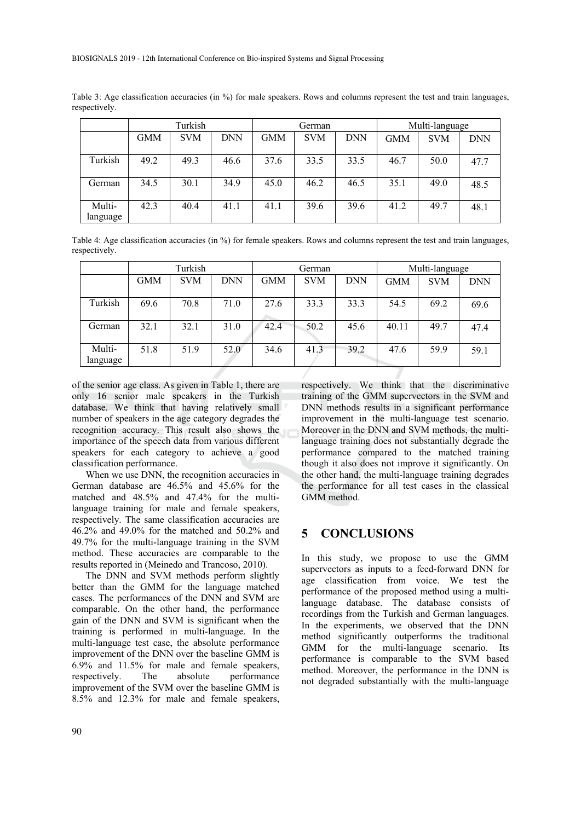|                    | Turkish    |            |      | German |            |            | Multi-language |            |            |
|--------------------|------------|------------|------|--------|------------|------------|----------------|------------|------------|
|                    | <b>GMM</b> | <b>SVM</b> | DNN  | GMM    | <b>SVM</b> | <b>DNN</b> | <b>GMM</b>     | <b>SVM</b> | <b>DNN</b> |
| Turkish            | 49.2       | 49.3       | 46.6 | 37.6   | 33.5       | 33.5       | 46.7           | 50.0       | 47.7       |
| German             | 34.5       | 30.1       | 34.9 | 45.0   | 46.2       | 46.5       | 35.1           | 49.0       | 48.5       |
| Multi-<br>language | 42.3       | 40.4       | 41.1 | 41.1   | 39.6       | 39.6       | 41.2           | 49.7       | 48.1       |

Table 3: Age classification accuracies (in %) for male speakers. Rows and columns represent the test and train languages, respectively.

Table 4: Age classification accuracies (in %) for female speakers. Rows and columns represent the test and train languages, respectively.

|                    | Turkish |            |            | German     |            |            | Multi-language |            |            |
|--------------------|---------|------------|------------|------------|------------|------------|----------------|------------|------------|
|                    | GMM     | <b>SVM</b> | <b>DNN</b> | <b>GMM</b> | <b>SVM</b> | <b>DNN</b> | <b>GMM</b>     | <b>SVM</b> | <b>DNN</b> |
| Turkish            | 69.6    | 70.8       | 71.0       | 27.6       | 33.3       | 33.3       | 54.5           | 69.2       | 69.6       |
| German             | 32.1    | 32.1       | 31.0       | 42.4       | 50.2       | 45.6       | 40.11          | 49.7       | 47.4       |
| Multi-<br>language | 51.8    | 51.9       | 52.0       | 34.6       | 41.3       | 39.2       | 47.6           | 59.9       | 59.1       |

of the senior age class. As given in Table 1, there are only 16 senior male speakers in the Turkish database. We think that having relatively small number of speakers in the age category degrades the recognition accuracy. This result also shows the importance of the speech data from various different speakers for each category to achieve a good classification performance.

When we use DNN, the recognition accuracies in German database are 46.5% and 45.6% for the matched and 48.5% and 47.4% for the multilanguage training for male and female speakers, respectively. The same classification accuracies are 46.2% and 49.0% for the matched and 50.2% and 49.7% for the multi-language training in the SVM method. These accuracies are comparable to the results reported in (Meinedo and Trancoso, 2010).

The DNN and SVM methods perform slightly better than the GMM for the language matched cases. The performances of the DNN and SVM are comparable. On the other hand, the performance gain of the DNN and SVM is significant when the training is performed in multi-language. In the multi-language test case, the absolute performance improvement of the DNN over the baseline GMM is 6.9% and 11.5% for male and female speakers, respectively. The absolute performance improvement of the SVM over the baseline GMM is 8.5% and 12.3% for male and female speakers,

respectively. We think that the discriminative training of the GMM supervectors in the SVM and DNN methods results in a significant performance improvement in the multi-language test scenario. Moreover in the DNN and SVM methods, the multilanguage training does not substantially degrade the performance compared to the matched training though it also does not improve it significantly. On the other hand, the multi-language training degrades the performance for all test cases in the classical GMM method.

## **5 CONCLUSIONS**

In this study, we propose to use the GMM supervectors as inputs to a feed-forward DNN for age classification from voice. We test the performance of the proposed method using a multilanguage database. The database consists of recordings from the Turkish and German languages. In the experiments, we observed that the DNN method significantly outperforms the traditional GMM for the multi-language scenario. Its performance is comparable to the SVM based method. Moreover, the performance in the DNN is not degraded substantially with the multi-language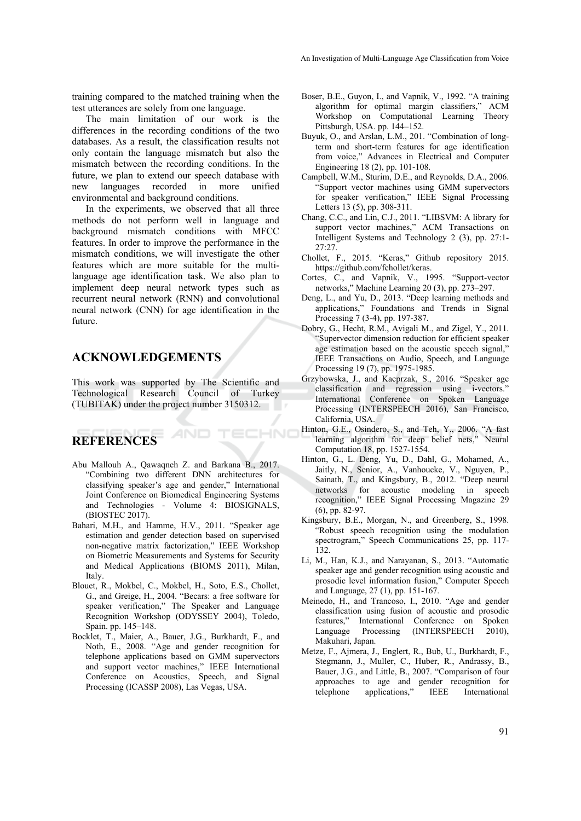training compared to the matched training when the test utterances are solely from one language.

The main limitation of our work is the differences in the recording conditions of the two databases. As a result, the classification results not only contain the language mismatch but also the mismatch between the recording conditions. In the future, we plan to extend our speech database with new languages recorded in more unified environmental and background conditions.

In the experiments, we observed that all three methods do not perform well in language and background mismatch conditions with MFCC features. In order to improve the performance in the mismatch conditions, we will investigate the other features which are more suitable for the multilanguage age identification task. We also plan to implement deep neural network types such as recurrent neural network (RNN) and convolutional neural network (CNN) for age identification in the future.

## **ACKNOWLEDGEMENTS**

This work was supported by The Scientific and Technological Research Council of Turkey (TUBITAK) under the project number 3150312.

AND

TECHNI

# **REFERENCES**

- Abu Mallouh A., Qawaqneh Z. and Barkana B., 2017. "Combining two different DNN architectures for classifying speaker's age and gender," International Joint Conference on Biomedical Engineering Systems and Technologies - Volume 4: BIOSIGNALS, (BIOSTEC 2017).
- Bahari, M.H., and Hamme, H.V., 2011. "Speaker age estimation and gender detection based on supervised non-negative matrix factorization," IEEE Workshop on Biometric Measurements and Systems for Security and Medical Applications (BIOMS 2011), Milan, Italy.
- Blouet, R., Mokbel, C., Mokbel, H., Soto, E.S., Chollet, G., and Greige, H., 2004. "Becars: a free software for speaker verification," The Speaker and Language Recognition Workshop (ODYSSEY 2004), Toledo, Spain. pp. 145–148.
- Bocklet, T., Maier, A., Bauer, J.G., Burkhardt, F., and Noth, E., 2008. "Age and gender recognition for telephone applications based on GMM supervectors and support vector machines," IEEE International Conference on Acoustics, Speech, and Signal Processing (ICASSP 2008), Las Vegas, USA.
- Boser, B.E., Guyon, I., and Vapnik, V., 1992. "A training algorithm for optimal margin classifiers," ACM Workshop on Computational Learning Theory Pittsburgh, USA. pp. 144–152.
- Buyuk, O., and Arslan, L.M., 201. "Combination of longterm and short-term features for age identification from voice," Advances in Electrical and Computer Engineering 18 (2), pp. 101-108.
- Campbell, W.M., Sturim, D.E., and Reynolds, D.A., 2006. "Support vector machines using GMM supervectors for speaker verification," IEEE Signal Processing Letters 13 (5), pp. 308-311.
- Chang, C.C., and Lin, C.J., 2011. "LIBSVM: A library for support vector machines," ACM Transactions on Intelligent Systems and Technology 2 (3), pp. 27:1- 27:27.
- Chollet, F., 2015. "Keras," Github repository 2015. https://github.com/fchollet/keras.
- Cortes, C., and Vapnik, V., 1995. "Support-vector networks," Machine Learning 20 (3), pp. 273–297.
- Deng, L., and Yu, D., 2013. "Deep learning methods and applications," Foundations and Trends in Signal Processing 7 (3-4), pp. 197-387.
- Dobry, G., Hecht, R.M., Avigali M., and Zigel, Y., 2011. "Supervector dimension reduction for efficient speaker age estimation based on the acoustic speech signal," IEEE Transactions on Audio, Speech, and Language Processing 19 (7), pp. 1975-1985.
- Grzybowska, J., and Kacprzak, S., 2016. "Speaker age classification and regression using i-vectors." International Conference on Spoken Language Processing (INTERSPEECH 2016), San Francisco, California, USA.
- Hinton, G.E., Osindero, S., and Teh, Y., 2006. "A fast learning algorithm for deep belief nets," Neural Computation 18, pp. 1527-1554.
- Hinton, G., L. Deng, Yu, D., Dahl, G., Mohamed, A., Jaitly, N., Senior, A., Vanhoucke, V., Nguyen, P., Sainath, T., and Kingsbury, B., 2012. "Deep neural networks for acoustic modeling in speech recognition," IEEE Signal Processing Magazine 29 (6), pp. 82-97.
- Kingsbury, B.E., Morgan, N., and Greenberg, S., 1998. "Robust speech recognition using the modulation spectrogram," Speech Communications 25, pp. 117-132.
- Li, M., Han, K.J., and Narayanan, S., 2013. "Automatic speaker age and gender recognition using acoustic and prosodic level information fusion," Computer Speech and Language, 27 (1), pp. 151-167.
- Meinedo, H., and Trancoso, I., 2010. "Age and gender classification using fusion of acoustic and prosodic features," International Conference on Spoken Language Processing (INTERSPEECH 2010), Makuhari, Japan.
- Metze, F., Ajmera, J., Englert, R., Bub, U., Burkhardt, F., Stegmann, J., Muller, C., Huber, R., Andrassy, B., Bauer, J.G., and Little, B., 2007. "Comparison of four approaches to age and gender recognition for telephone applications," IEEE International